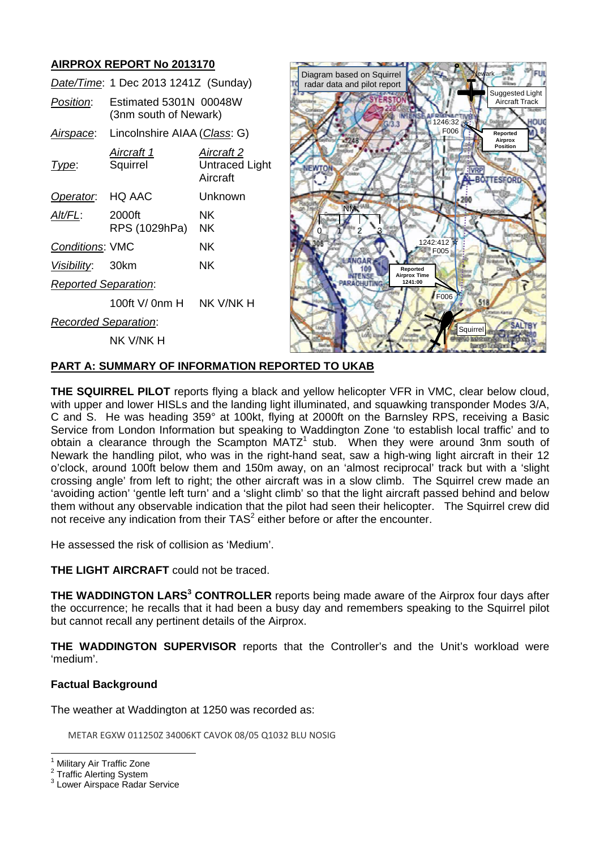## **AIRPROX REPORT No 2013170**

|                             | Date/Time: 1 Dec 2013 1241Z (Sunday)            |                                          |
|-----------------------------|-------------------------------------------------|------------------------------------------|
| Position:                   | Estimated 5301N 00048W<br>(3nm south of Newark) |                                          |
| <u>Airspace:</u>            | Lincolnshire AIAA ( <i>Class</i> : G)           |                                          |
| Type:                       | Aircraft 1<br>Squirrel                          | Aircraft 2<br>Untraced Light<br>Aircraft |
| Operator.                   | HO AAC                                          | Unknown                                  |
| Alt/FL:                     | 2000ft<br>RPS (1029hPa)                         | NΚ<br>NK.                                |
| Conditions: VMC             |                                                 | ΝK                                       |
| Visibility: 30km            |                                                 | ΝK                                       |
| <b>Reported Separation:</b> |                                                 |                                          |
|                             | 100ft V/ 0nm H NK V/NK H                        |                                          |
| <b>Recorded Separation:</b> |                                                 |                                          |
|                             | NK V/NK H                                       |                                          |



## **PART A: SUMMARY OF INFORMATION REPORTED TO UKAB**

**THE SQUIRREL PILOT** reports flying a black and yellow helicopter VFR in VMC, clear below cloud, with upper and lower HISLs and the landing light illuminated, and squawking transponder Modes 3/A, C and S. He was heading 359° at 100kt, flying at 2000ft on the Barnsley RPS, receiving a Basic Service from London Information but speaking to Waddington Zone 'to establish local traffic' and to obtain a clearance through the Scampton  $MATZ<sup>1</sup>$  stub. When they were around 3nm south of Newark the handling pilot, who was in the right-hand seat, saw a high-wing light aircraft in their 12 o'clock, around 100ft below them and 150m away, on an 'almost reciprocal' track but with a 'slight crossing angle' from left to right; the other aircraft was in a slow climb. The Squirrel crew made an 'avoiding action' 'gentle left turn' and a 'slight climb' so that the light aircraft passed behind and below them without any observable indication that the pilot had seen their helicopter. The Squirrel crew did not receive any indication from their  $TAS<sup>2</sup>$  either before or after the encounter.

He assessed the risk of collision as 'Medium'.

**THE LIGHT AIRCRAFT** could not be traced.

**THE WADDINGTON LARS<sup>3</sup> CONTROLLER** reports being made aware of the Airprox four days after the occurrence; he recalls that it had been a busy day and remembers speaking to the Squirrel pilot but cannot recall any pertinent details of the Airprox.

**THE WADDINGTON SUPERVISOR** reports that the Controller's and the Unit's workload were 'medium'.

## **Factual Background**

The weather at Waddington at 1250 was recorded as:

METAR EGXW 011250Z 34006KT CAVOK 08/05 Q1032 BLU NOSIG

1 Military Air Traffic Zone

<sup>2</sup> Traffic Alerting System

<sup>3</sup> Lower Airspace Radar Service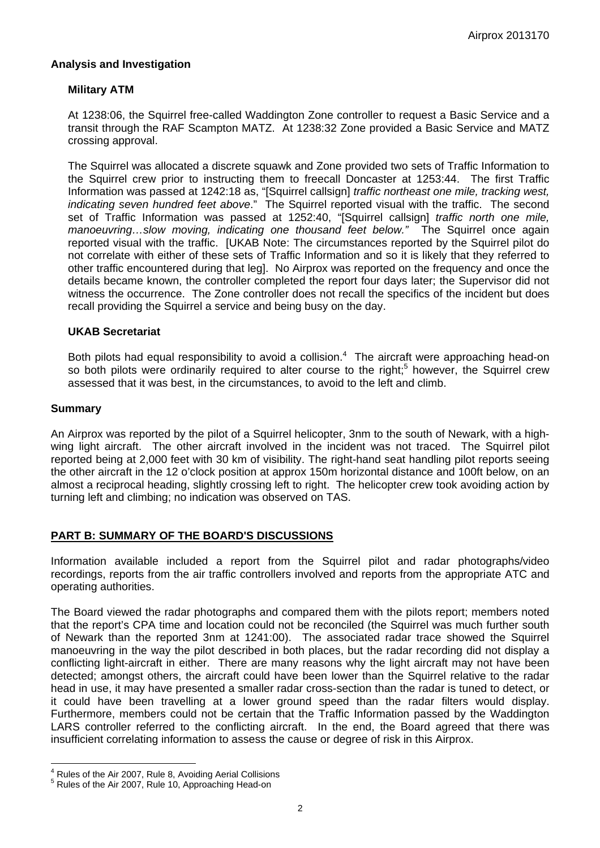#### **Analysis and Investigation**

#### **Military ATM**

At 1238:06, the Squirrel free-called Waddington Zone controller to request a Basic Service and a transit through the RAF Scampton MATZ. At 1238:32 Zone provided a Basic Service and MATZ crossing approval.

The Squirrel was allocated a discrete squawk and Zone provided two sets of Traffic Information to the Squirrel crew prior to instructing them to freecall Doncaster at 1253:44. The first Traffic Information was passed at 1242:18 as, "[Squirrel callsign] *traffic northeast one mile, tracking west, indicating seven hundred feet above*." The Squirrel reported visual with the traffic. The second set of Traffic Information was passed at 1252:40, "[Squirrel callsign] *traffic north one mile, manoeuvring…slow moving, indicating one thousand feet below.*" The Squirrel once again reported visual with the traffic. [UKAB Note: The circumstances reported by the Squirrel pilot do not correlate with either of these sets of Traffic Information and so it is likely that they referred to other traffic encountered during that leg]. No Airprox was reported on the frequency and once the details became known, the controller completed the report four days later; the Supervisor did not witness the occurrence. The Zone controller does not recall the specifics of the incident but does recall providing the Squirrel a service and being busy on the day.

#### **UKAB Secretariat**

Both pilots had equal responsibility to avoid a collision. $4$  The aircraft were approaching head-on so both pilots were ordinarily required to alter course to the right;<sup>5</sup> however, the Squirrel crew assessed that it was best, in the circumstances, to avoid to the left and climb.

#### **Summary**

An Airprox was reported by the pilot of a Squirrel helicopter, 3nm to the south of Newark, with a highwing light aircraft. The other aircraft involved in the incident was not traced. The Squirrel pilot reported being at 2,000 feet with 30 km of visibility. The right-hand seat handling pilot reports seeing the other aircraft in the 12 o'clock position at approx 150m horizontal distance and 100ft below, on an almost a reciprocal heading, slightly crossing left to right. The helicopter crew took avoiding action by turning left and climbing; no indication was observed on TAS.

## **PART B: SUMMARY OF THE BOARD'S DISCUSSIONS**

Information available included a report from the Squirrel pilot and radar photographs/video recordings, reports from the air traffic controllers involved and reports from the appropriate ATC and operating authorities.

The Board viewed the radar photographs and compared them with the pilots report; members noted that the report's CPA time and location could not be reconciled (the Squirrel was much further south of Newark than the reported 3nm at 1241:00). The associated radar trace showed the Squirrel manoeuvring in the way the pilot described in both places, but the radar recording did not display a conflicting light-aircraft in either. There are many reasons why the light aircraft may not have been detected; amongst others, the aircraft could have been lower than the Squirrel relative to the radar head in use, it may have presented a smaller radar cross-section than the radar is tuned to detect, or it could have been travelling at a lower ground speed than the radar filters would display. Furthermore, members could not be certain that the Traffic Information passed by the Waddington LARS controller referred to the conflicting aircraft. In the end, the Board agreed that there was insufficient correlating information to assess the cause or degree of risk in this Airprox.

<u> 1989 - Andrea Andrew Maria (h. 1989).</u><br>1980 - Andrew Maria (h. 1989).

<sup>&</sup>lt;sup>4</sup> Rules of the Air 2007, Rule 8, Avoiding Aerial Collisions

<sup>&</sup>lt;sup>5</sup> Rules of the Air 2007, Rule 10, Approaching Head-on